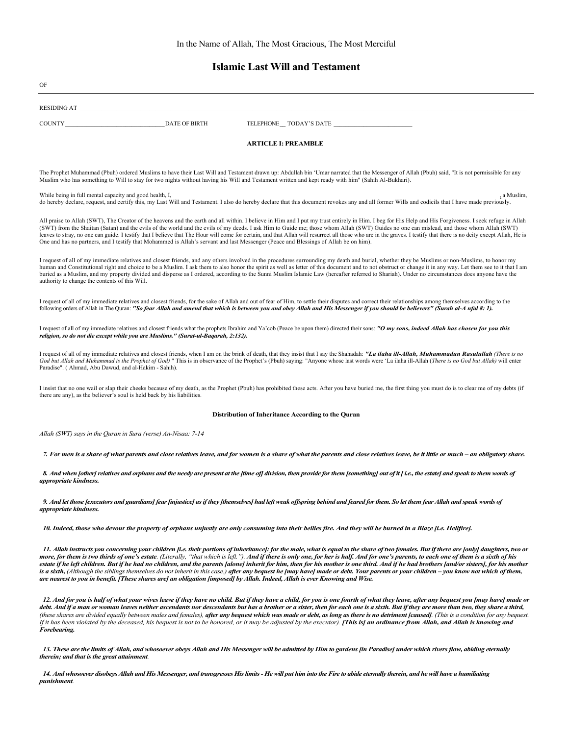# **Islamic Last Will and Testament**

| OF                                                                                                                                                                                                                                                                                                                                                                                                                                                                                                                                                                                                                                                                                                                                                                                                                                                                                                                 |  |  |
|--------------------------------------------------------------------------------------------------------------------------------------------------------------------------------------------------------------------------------------------------------------------------------------------------------------------------------------------------------------------------------------------------------------------------------------------------------------------------------------------------------------------------------------------------------------------------------------------------------------------------------------------------------------------------------------------------------------------------------------------------------------------------------------------------------------------------------------------------------------------------------------------------------------------|--|--|
| RESIDING AT                                                                                                                                                                                                                                                                                                                                                                                                                                                                                                                                                                                                                                                                                                                                                                                                                                                                                                        |  |  |
| <b>DATE OF BIRTH</b><br>COUNTY<br>TELEPHONE TODAY'S DATE                                                                                                                                                                                                                                                                                                                                                                                                                                                                                                                                                                                                                                                                                                                                                                                                                                                           |  |  |
| <b>ARTICLE I: PREAMBLE</b>                                                                                                                                                                                                                                                                                                                                                                                                                                                                                                                                                                                                                                                                                                                                                                                                                                                                                         |  |  |
| The Prophet Muhammad (Pbuh) ordered Muslims to have their Last Will and Testament drawn up: Abdullah bin 'Umar narrated that the Messenger of Allah (Pbuh) said, "It is not permissible for any<br>Muslim who has something to Will to stay for two nights without having his Will and Testament written and kept ready with him" (Sahih Al-Bukhari).                                                                                                                                                                                                                                                                                                                                                                                                                                                                                                                                                              |  |  |
| While being in full mental capacity and good health, I,<br>, a Muslim,<br>do hereby declare, request, and certify this, my Last Will and Testament. I also do hereby declare that this document revokes any and all former Wills and codicils that I have made previously.                                                                                                                                                                                                                                                                                                                                                                                                                                                                                                                                                                                                                                         |  |  |
| All praise to Allah (SWT), The Creator of the heavens and the earth and all within. I believe in Him and I put my trust entirely in Him. I beg for His Help and His Forgiveness. I seek refuge in Allah<br>(SWT) from the Shaitan (Satan) and the evils of the world and the evils of my deeds. I ask Him to Guide me; those whom Allah (SWT) Guides no one can mislead, and those whom Allah (SWT)<br>leaves to stray, no one can guide. I testify that I believe that The Hour will come for certain, and that Allah will resurrect all those who are in the graves. I testify that there is no deity except Allah, He is<br>One and has no partners, and I testify that Mohammed is Allah's servant and last Messenger (Peace and Blessings of Allah be on him).                                                                                                                                                |  |  |
| I request of all of my immediate relatives and closest friends, and any others involved in the procedures surrounding my death and burial, whether they be Muslims or non-Muslims, to honor my<br>human and Constitutional right and choice to be a Muslim. I ask them to also honor the spirit as well as letter of this document and to not obstruct or change it in any way. Let them see to it that I am<br>buried as a Muslim, and my property divided and disperse as I ordered, according to the Sunni Muslim Islamic Law (hereafter referred to Shariah). Under no circumstances does anyone have the<br>authority to change the contents of this Will.                                                                                                                                                                                                                                                    |  |  |
| I request of all of my immediate relatives and closest friends, for the sake of Allah and out of fear of Him, to settle their disputes and correct their relationships among themselves according to the<br>following orders of Allah in The Quran: "So fear Allah and amend that which is between you and obey Allah and His Messenger if you should be believers" (Surah al-A nfal 8: 1).                                                                                                                                                                                                                                                                                                                                                                                                                                                                                                                        |  |  |
| I request of all of my immediate relatives and closest friends what the prophets Ibrahim and Ya'cob (Peace be upon them) directed their sons: "O my sons, indeed Allah has chosen for you this<br>religion, so do not die except while you are Muslims." (Surat-ul-Baqarah, 2:132).                                                                                                                                                                                                                                                                                                                                                                                                                                                                                                                                                                                                                                |  |  |
| I request of all of my immediate relatives and closest friends, when I am on the brink of death, that they insist that I say the Shahadah: "La ilaha ill-Allah, Muhammadun Rasulullah (There is no<br>God but Allah and Muhammad is the Prophet of God) " This is in observance of the Prophet's (Pbuh) saying: "Anyone whose last words were 'La ilaha ill-Allah (There is no God but Allah) will enter<br>Paradise". (Ahmad, Abu Dawud, and al-Hakim - Sahih).                                                                                                                                                                                                                                                                                                                                                                                                                                                   |  |  |
| I insist that no one wail or slap their cheeks because of my death, as the Prophet (Pbuh) has prohibited these acts. After you have buried me, the first thing you must do is to clear me of my debts (if<br>there are any), as the believer's soul is held back by his liabilities.                                                                                                                                                                                                                                                                                                                                                                                                                                                                                                                                                                                                                               |  |  |
| Distribution of Inheritance According to the Quran                                                                                                                                                                                                                                                                                                                                                                                                                                                                                                                                                                                                                                                                                                                                                                                                                                                                 |  |  |
| Allah (SWT) says in the Quran in Sura (verse) An-Nisaa: 7-14                                                                                                                                                                                                                                                                                                                                                                                                                                                                                                                                                                                                                                                                                                                                                                                                                                                       |  |  |
| 7. For men is a share of what parents and close relatives leave, and for women is a share of what the parents and close relatives leave, be it little or much – an obligatory share.                                                                                                                                                                                                                                                                                                                                                                                                                                                                                                                                                                                                                                                                                                                               |  |  |
| 8. And when [other] relatives and orphans and the needy are present at the [time of] division, then provide for them [something] out of it [i.e., the estate] and speak to them words of<br>appropriate kindness.                                                                                                                                                                                                                                                                                                                                                                                                                                                                                                                                                                                                                                                                                                  |  |  |
| 9. And let those fexecutors and guardiansf fear finjusticef as if they fthemselvesf had left weak offspring behind and feared for them. So let them fear Allah and speak words of<br>appropriate kindness.                                                                                                                                                                                                                                                                                                                                                                                                                                                                                                                                                                                                                                                                                                         |  |  |
| 10. Indeed, those who devour the property of orphans unjustly are only consuming into their bellies fire. And they will be burned in a Blaze [i.e. Hellfire].                                                                                                                                                                                                                                                                                                                                                                                                                                                                                                                                                                                                                                                                                                                                                      |  |  |
| 11. Allah instructs you concerning your children [i.e. their portions of inheritance]: for the male, what is equal to the share of two females. But if there are [only] daughters, two or<br>more, for them is two thirds of one's estate. (Literally, "that which is left."). And if there is only one, for her is half. And for one's parents, to each one of them is a sixth of his<br>estate if he left children. But if he had no children, and the parents [alone] inherit for him, then for his mother is one third. And if he had brothers [and/or sisters], for his mother<br>is a sixth, (Although the siblings themselves do not inherit in this case.) <b>after any bequest he [may have] made or debt. Your parents or your children – you know not which of them,</b><br>are nearest to you in benefit. [These shares are] an obligation [imposed] by Allah. Indeed, Allah is ever Knowing and Wise. |  |  |
| 12. And for you is half of what your wives leave if they have no child. But if they have a child, for you is one fourth of what they leave, after any bequest you [may have] made or<br>debt. And if a man or woman leaves neither ascendants nor descendants but has a brother or a sister, then for each one is a sixth. But if they are more than two, they share a third,<br>(these shares are divided equally between males and females), <b>after any bequest which was made or debt, as long as there is no detriment [caused]</b> . (This is a condition for any bequest.<br>If it has been violated by the deceased, his bequest is not to be honored, or it may be adjusted by the executor). [This is] an ordinance from Allah, and Allah is knowing and<br>Forebearing.                                                                                                                                |  |  |
| 13. These are the limits of Allah, and whosoever obeys Allah and His Messenger will be admitted by Him to gardens fin Paradisel under which rivers flow, abiding eternally<br>therein; and that is the great attainment.                                                                                                                                                                                                                                                                                                                                                                                                                                                                                                                                                                                                                                                                                           |  |  |
| 14. And whosoever disobeys Allah and His Messenger, and transgresses His limits - He will put him into the Fire to abide eternally therein, and he will have a humiliating                                                                                                                                                                                                                                                                                                                                                                                                                                                                                                                                                                                                                                                                                                                                         |  |  |

*punishment.*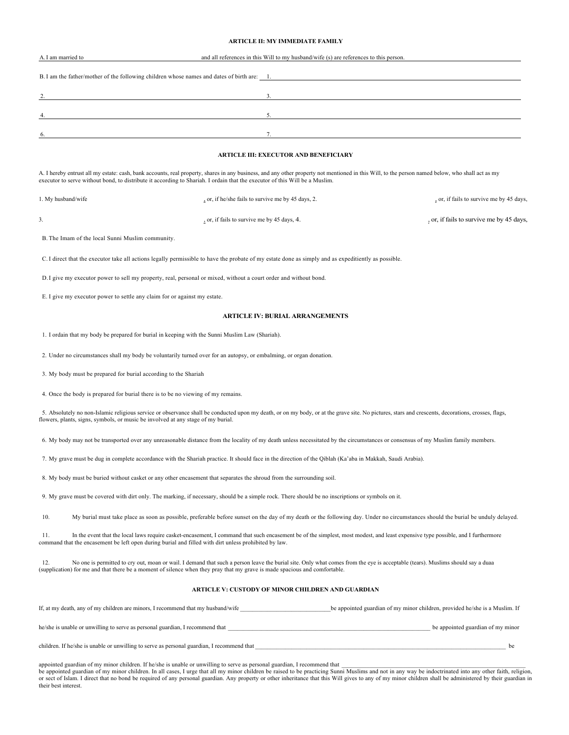### **ARTICLE II: MY IMMEDIATE FAMILY**

| A. I am married to | and all references in this Will to my husband/wife (s) are references to this person.      |
|--------------------|--------------------------------------------------------------------------------------------|
|                    |                                                                                            |
|                    | B. I am the father/mother of the following children whose names and dates of birth are: 1. |
| 2.                 |                                                                                            |
|                    |                                                                                            |
| $\overline{4}$ .   |                                                                                            |
|                    |                                                                                            |
| 6.                 |                                                                                            |
|                    |                                                                                            |

### **ARTICLE III: EXECUTOR AND BENEFICIARY**

A. I hereby entrust all my estate: cash, bank accounts, real property, shares in any business, and any other property not mentioned in this Will, to the person named below, who shall act as my executor to serve without bond, to distribute it according to Shariah. I ordain that the executor of this Will be a Muslim.

| 1. My husband/wife | or, if he/she fails to survive me by 45 days, 2. | , or, if fails to survive me by 45 days, |
|--------------------|--------------------------------------------------|------------------------------------------|
|                    | or, if fails to survive me by 45 days, 4.        | , or, if fails to survive me by 45 days, |

B. The Imam of the local Sunni Muslim community.

C. I direct that the executor take all actions legally permissible to have the probate of my estate done as simply and as expeditiently as possible.

D.I give my executor power to sell my property, real, personal or mixed, without a court order and without bond.

E. I give my executor power to settle any claim for or against my estate.

### **ARTICLE IV: BURIAL ARRANGEMENTS**

1. I ordain that my body be prepared for burial in keeping with the Sunni Muslim Law (Shariah).

2. Under no circumstances shall my body be voluntarily turned over for an autopsy, or embalming, or organ donation.

3. My body must be prepared for burial according to the Shariah

their best interest.

4. Once the body is prepared for burial there is to be no viewing of my remains.

5. Absolutely no non-Islamic religious service or observance shall be conducted upon my death, or on my body, or at the grave site. No pictures, stars and crescents, decorations, crosses, flags, flowers, plants, signs, symbols, or music be involved at any stage of my burial.

6. My body may not be transported over any unreasonable distance from the locality of my death unless necessitated by the circumstances or consensus of my Muslim family members.

7. My grave must be dug in complete accordance with the Shariah practice. It should face in the direction of the Qiblah (Ka'aba in Makkah, Saudi Arabia).

8. My body must be buried without casket or any other encasement that separates the shroud from the surrounding soil.

9. My grave must be covered with dirt only. The marking, if necessary, should be a simple rock. There should be no inscriptions or symbols on it.

10. My burial must take place as soon as possible, preferable before sunset on the day of my death or the following day. Under no circumstances should the burial be unduly delayed.

11. In the event that the local laws require casket-encasement, I command that such encasement be of the simplest, most modest, and least expensive type possible, and I furthermore command that the encasement be left open

12. No one is permitted to cry out, moan or wail. I demand that such a person leave the burial site. Only what comes from the eye is acceptable (tears). Muslims should say a duaa (supplication) for me and that there be a moment of silence when they pray that my grave is made spacious and comfortable.

### **ARTICLE V: CUSTODY OF MINOR CHILDREN AND GUARDIAN**

| If, at my death, any of my children are minors, I recommend that my husband/wife           | be appointed guardian of my minor children, provided he/she is a Muslim. If |
|--------------------------------------------------------------------------------------------|-----------------------------------------------------------------------------|
| he/she is unable or unwilling to serve as personal guardian, I recommend that              | be appointed guardian of my minor                                           |
| children. If he/she is unable or unwilling to serve as personal guardian, I recommend that |                                                                             |

appointed guardian of my minor children. If he/she is unable or unwilling to serve as personal guardian, I recommend that <br>be appointed guardian of my minor children. In all cases, I urge that all my minor children be rais or sect of Islam. I direct that no bond be required of any personal guardian. Any property or other inheritance that this Will gives to any of my minor children shall be administered by their guardian in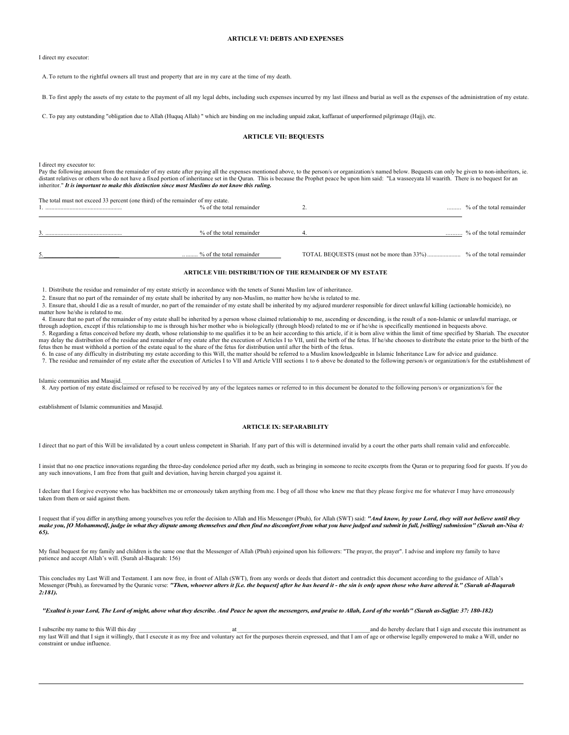#### **ARTICLE VI: DEBTS AND EXPENSES**

I direct my executor:

A.To return to the rightful owners all trust and property that are in my care at the time of my death.

B. To first apply the assets of my estate to the payment of all my legal debts, including such expenses incurred by my last illness and burial as well as the expenses of the administration of my estate.

C. To pay any outstanding "obligation due to Allah (Huquq Allah) " which are binding on me including unpaid zakat, kaffaraat of unperformed pilgrimage (Hajj), etc.

### **ARTICLE VII: BEQUESTS**

I direct my executor to:

Pay the following amount from the remainder of my estate after paying all the expenses mentioned above, to the person/s or organization/s named below. Bequests can only be given to non-inheritors, ie. distant relatives or others who do not have a fixed portion of inheritance set in the Quran. This is because the Prophet peace be upon him said: "La wasseeyata lil waarith. There is no bequest for an inheritor." *It is important to make this distinction since most Muslims do not know this ruling.*

| The total must not exceed 33 percent (one third) of the remainder of my estate. | % of the total remainder | % of the total remainder |
|---------------------------------------------------------------------------------|--------------------------|--------------------------|
|                                                                                 | % of the total remainder | % of the total remainder |
|                                                                                 | % of the total remainder |                          |

### **ARTICLE VIII: DISTRIBUTION OF THE REMAINDER OF MY ESTATE**

1. Distribute the residue and remainder of my estate strictly in accordance with the tenets of Sunni Muslim law of inheritance.

2. Ensure that no part of the remainder of my estate shall be inherited by any non-Muslim, no matter how he/she is related to me.

3. Ensure that, should I die as a result of murder, no part of the remainder of my estate shall be inherited by my adjured murderer responsible for direct unlawful killing (actionable homicide), no matter how he/she is related to me.

4. Ensure that no part of the remainder of my estate shall be inherited by a person whose claimed relationship to me, ascending or descending, is the result of a non-Islamic or unlawful marriage, or through adoption, except if this relationship to me is through his/her mother who is biologically (through blood) related to me or if he/she is specifically mentioned in bequests above.

5. Regarding a fetus conceived before my death, whose relationship to me qualifies it to be an heir according to this article, if it is born alive within the limit of time specified by Shariah. The executor may delay the distribution of the residue and remainder of my estate after the execution of Articles I to VII, until the birth of the fetus. If he/she chooses to distribute the estate prior to the birth of the fetus then he must withhold a portion of the estate equal to the share of the fetus for distribution until after the birth of the fetus.

6. In case of any difficulty in distributing my estate according to this Will, the matter should be referred to a Muslim knowledgeable in Islamic Inheritance Law for advice and guidance.

7. The residue and remainder of my estate after the execution of Articles I to VII and Article VIII sections 1 to 6 above be donated to the following person/s or organization/s for the establishment of

Islamic communities and Masajid.<br>8. Any portion of my estate disclaimed or refused to be received by any of the legatees names or referred to in this document be donated to the following person/s or organization/s for the

establishment of Islamic communities and Masajid.

#### **ARTICLE IX: SEPARABILITY**

I direct that no part of this Will be invalidated by a court unless competent in Shariah. If any part of this will is determined invalid by a court the other parts shall remain valid and enforceable.

I insist that no one practice innovations regarding the three-day condolence period after my death, such as bringing in someone to recite excerpts from the Quran or to preparing food for guests. If you do any such innovations, I am free from that guilt and deviation, having herein charged you against it.

I declare that I forgive everyone who has backbitten me or erroneously taken anything from me. I beg of all those who knew me that they please forgive me for whatever I may have erroneously taken from them or said against them.

I request that if you differ in anything among yourselves you refer the decision to Allah and His Messenger (Pbuh), for Allah (SWT) said: *"And know, by your Lord, they will not believe until they make you, [O Mohammed], judge in what they dispute among themselves and then find no discomfort from what you have judged and submit in full, [willing] submission" (Surah an-Nisa 4: 65).*

My final bequest for my family and children is the same one that the Messenger of Allah (Pbuh) enjoined upon his followers: "The prayer, the prayer". I advise and implore my family to have patience and accept Allah's will. (Surah al-Baqarah: 156)

This concludes my Last Will and Testament. I am now free, in front of Allah (SWT), from any words or deeds that distort and contradict this document according to the guidance of Allah's Messenger (Pbuh), as forewarned by the Quranic verse: *"Then, whoever alters it [i.e. the bequest] after he has heard it - the sin is only upon those who have altered it." (Surah al-Baqarah 2:181).*

*"Exalted is your Lord, The Lord of might, above what they describe. And Peace be upon the messengers, and praise to Allah, Lord of the worlds" (Surah as-Saffat: 37: 180-182)*

I subscribe my name to this Will this day \_\_\_\_\_\_\_\_\_\_\_\_\_\_\_\_\_\_\_\_\_\_\_\_\_\_\_\_\_\_\_ at\_\_\_\_\_\_\_\_\_\_\_\_\_\_\_\_\_\_\_\_\_\_\_\_\_\_\_\_\_\_\_\_\_\_\_\_\_\_\_\_\_\_\_\_and do hereby declare that I sign and execute this instrument as my last Will and that I sign it willingly, that I execute it as my free and voluntary act for the purposes therein expressed, and that I am of age or otherwise legally empowered to make a Will, under no constraint or undue influence.